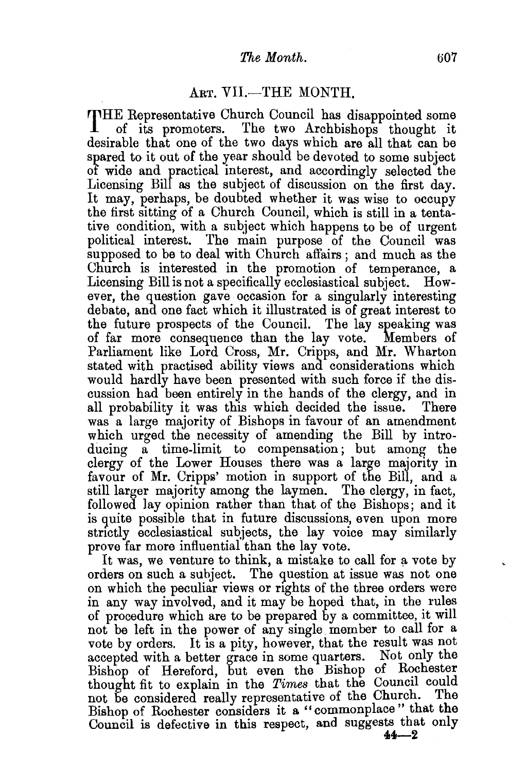## $The Month.$  607

## ART. VII.-THE MONTH.

THE Representative Church Council has disappointed some of its promoters. The two Archbishops thought it desirable that one of the two days which are all that can be spared to it out of the year should be devoted to some subject of wide and practical interest, and accordingly selected the Licensing Bill as the subject of discussion on the first day. It may, perhaps, be doubted whether it was wise to occupy the first sitting of a Church Council, which is still in a tentative condition, with a subject which happens to be of urgent political interest. The main purpose of the Council was supposed to be to deal with Church affairs; and much as the Church is interested in the promotion of temperance, a Licensing Bill is not a specifically ecclesiastical subject. However, the question gave occasion for a singularly interesting debate, and one fact which it illustrated is of great interest to the future prospects of the Council. The lay speaking was of far more consequence than the lay vote. Members of Parliament like Lord Cross, Mr. Cripps, and Mr. Wharton stated with practised ability views and considerations which would hardly have been presented with such force if the discussion had been entirely in the hands of the clergy, and in all probability it was this which decided the issue. There was a large majority of Bishops in favour of an amendment which urged the necessity of amending the Bill by introducing a time-limit to compensation; but among the clergy of the Lower Houses there was a large majority in favour of Mr. Cripps' motion in support of the Bill, and a still larger majority among the laymen. The clergy, in fact, followed lay opinion rather than that of the Bishops; and it is guite possible that in future discussions, even upon more strictly ecclesiastical subjects, the lay voice may similarly prove far more influential than the lay vote.

It was, we venture to think, a mistake to call for a vote by orders on such a subject. The guestion at issue was not one on which the peculiar views or rights of the three orders were in any way involved, and it may be hoped that, in the rules of procedure which are to be prepared by a committee, it will not be left in the power of any single member to call for a vote by orders. It is a pity, however, that the result was not accepted with a better grace in some quarters. Not only the Bishop of Hereford, but even the Bishop of Rochester thought fit to explain in the *Times* that the Council could not be considered really representative of the Church. The Bishop of Rochester considers it a " commonplace " that the Council is defective in this respect, and suggests that only **44-2**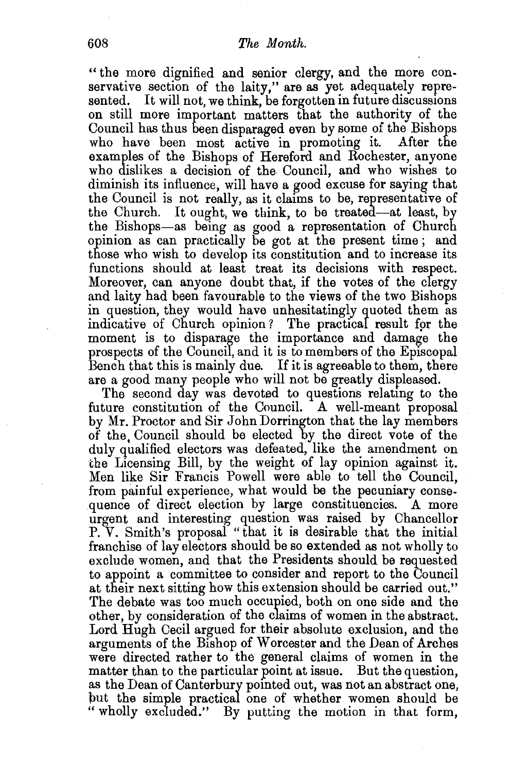## 608 *The Month.*

" the more dignified and senior clergy, and the more conservative section of the laity," are as yet adequately represented. It will not, we think, be forgotten in future discussions on still more important matters that the authority of the Council has thus been disparaged even by some of the Bishops who have been most active in promoting it. examples of the Bishops of Hereford and Rochester, anyone who dislikes a decision of the Council, and who wishes to diminish its influence, will have a good excuse for saying that the Council is not really, as it claims to be, representative of the Church. It ought, we think, to be treated-at least, by the Bishops-as being as good a representation of Church opinion as can practically be got at the present time; and those who wish to develop its constitution and to increase its functions should at least treat its decisions with respect. Moreover, can anyone doubt that, if the votes of the clergy and laity had been favourable to the views of the two Bishops in question, they would have unhesitatingly quoted them as indicative of Church opinion? The practical result for the moment is to disparage the importance and damage the prospects of the Council, and it is to members of the Episcopal Bench that this is mainly due. If it is agreeable to them, there are a good many people who will not be greatly displeased.

The second day was devoted to questions relating to the future constitution of the Council. A well-meant proposal by Mr. Proctor and Sir John Dorrington that the lay members of the Council should be elected by the direct vote of the duly qualified electors was defeated, like the amendment on the Licensing Bill, by the weight of lay opinion against it. Men like Sir Francis Powell were able to tell the Council, from painful experience, what would be the pecuniary consequence of direct election by large constituencies. A more urgent and interesting question was raised by Chancellor P. V. Smith's proposal "that it is desirable that the initial franchise of lay electors should be so extended as not wholly to exclude women, and that the Presidents should be requested to appoint a committee to consider and report to the Council at their next sitting how this extension should be carried out." The debate was too much occupied, both on one side and the other, by consideration of the claims of women in the abstract. Lord Hugh Cecil argued for their absolute exclusion, and the arguments of the Bishop of Worcester and the Dean of Arches were directed rather to the general claims of women in the matter than to the particular point at issue. But the question, as the Dean of Canterbury pomted out, was not an abstract one, put the simple practical one of whether women should be " wholly excluded." By putting the motion in that form,